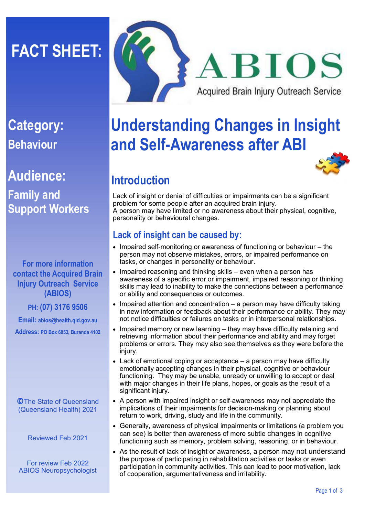# **FACT SHEET:**

# **Category: Behaviour**

# **Audience: Family and Support Workers**

#### **For more information contact the Acquired Brain Injury Outreach Service (ABIOS)**

**PH: (07) 3176 9506**

**Email: abios@health.qld.gov.au** 

**Address: PO Box 6053, Buranda 4102**

**©**The State of Queensland (Queensland Health) 2021

Reviewed Feb 2021

For review Feb 2022 ABIOS Neuropsychologist



# **Understanding Changes in Insight and Self-Awareness after ABI**



# **Introduction**

Lack of insight or denial of difficulties or impairments can be a significant problem for some people after an acquired brain injury. A person may have limited or no awareness about their physical, cognitive, personality or behavioural changes.

## **Lack of insight can be caused by:**

- Impaired self-monitoring or awareness of functioning or behaviour the person may not observe mistakes, errors, or impaired performance on tasks, or changes in personality or behaviour.
- Impaired reasoning and thinking skills even when a person has awareness of a specific error or impairment, impaired reasoning or thinking skills may lead to inability to make the connections between a performance or ability and consequences or outcomes.
- Impaired attention and concentration a person may have difficulty taking in new information or feedback about their performance or ability. They may not notice difficulties or failures on tasks or in interpersonal relationships.
- Impaired memory or new learning they may have difficulty retaining and retrieving information about their performance and ability and may forget problems or errors. They may also see themselves as they were before the injury.
- Lack of emotional coping or acceptance a person may have difficulty emotionally accepting changes in their physical, cognitive or behaviour functioning. They may be unable, unready or unwilling to accept or deal with major changes in their life plans, hopes, or goals as the result of a significant injury.
- A person with impaired insight or self-awareness may not appreciate the implications of their impairments for decision-making or planning about return to work, driving, study and life in the community.
- Generally, awareness of physical impairments or limitations (a problem you can see) is better than awareness of more subtle changes in cognitive functioning such as memory, problem solving, reasoning, or in behaviour.
- As the result of lack of insight or awareness, a person may not understand the purpose of participating in rehabilitation activities or tasks or even participation in community activities. This can lead to poor motivation, lack of cooperation, argumentativeness and irritability.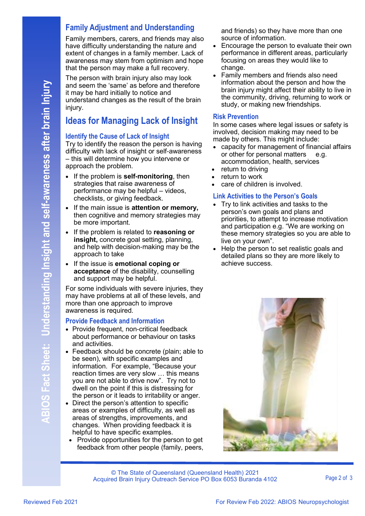#### **Family Adjustment and Understanding**

Family members, carers, and friends may also have difficulty understanding the nature and extent of changes in a family member. Lack of awareness may stem from optimism and hope that the person may make a full recovery.

The person with brain injury also may look and seem the 'same' as before and therefore it may be hard initially to notice and understand changes as the result of the brain injury.

### **Ideas for Managing Lack of Insight**

#### **Identify the Cause of Lack of Insight**

Try to identify the reason the person is having difficulty with lack of insight or self-awareness – this will determine how you intervene or approach the problem.

- If the problem is **self-monitoring**, then strategies that raise awareness of performance may be helpful – videos, checklists, or giving feedback.
- If the main issue is **attention or memory,**  then cognitive and memory strategies may be more important.
- If the problem is related to **reasoning or insight,** concrete goal setting, planning, and help with decision-making may be the approach to take
- If the issue is **emotional coping or acceptance** of the disability, counselling and support may be helpful.

For some individuals with severe injuries, they may have problems at all of these levels, and more than one approach to improve awareness is required.

#### **Provide Feedback and Information**

- Provide frequent, non-critical feedback about performance or behaviour on tasks and activities.
- Feedback should be concrete (plain; able to be seen), with specific examples and information. For example, "Because your reaction times are very slow … this means you are not able to drive now". Try not to dwell on the point if this is distressing for the person or it leads to irritability or anger.
- Direct the person's attention to specific areas or examples of difficulty, as well as areas of strengths, improvements, and changes. When providing feedback it is helpful to have specific examples.
	- Provide opportunities for the person to get feedback from other people (family, peers,

and friends) so they have more than one source of information.

- Encourage the person to evaluate their own performance in different areas, particularly focusing on areas they would like to change.
- Family members and friends also need information about the person and how the brain injury might affect their ability to live in the community, driving, returning to work or study, or making new friendships.

#### **Risk Prevention**

In some cases where legal issues or safety is involved, decision making may need to be made by others. This might include:

- capacity for management of financial affairs or other for personal matters e.g. accommodation, health, services
- return to driving
- return to work
- care of children is involved.

#### **Link Activities to the Person's Goals**

- Try to link activities and tasks to the person's own goals and plans and priorities, to attempt to increase motivation and participation e.g. "We are working on these memory strategies so you are able to live on your own".
- Help the person to set realistic goals and detailed plans so they are more likely to achieve success.



© The State of Queensland (Queensland Health) 2021 Acquired Brain Injury Outreach Service PO Box 6053 Buranda 4102